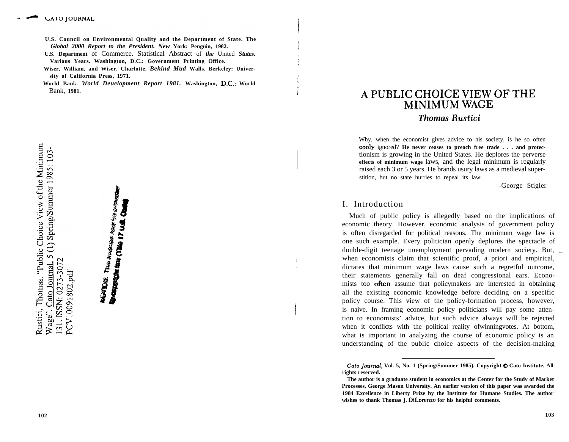- **U.S. Council on Environmental Quality and the Department of State. The** *Global 2000 Report to the President. New* **York: Penguin, 1982.**
- **U.S. Department** of Commerce. Statistical Abstract of *the* United *States.* **Various Years. Washington, D.C.: Government Printing Office.**
- **Wiser, William, and Wiser, Charlotte.** *Behind Mud* **Walls. Berkeley: University of California Press, 1971.**
- **World Bank.** *World Deuelopment Report 1981.* **Washington, DC.: World** Bank, **1981.**

**MOTER: The National House Company Company of the Magazine of Company of the Company of Company of the Company of Company of the Company of the C**<br>The Party of Company of Company of Company of the Company of the Company of the Company of the Company of the

# A PUBLIC CHOICE VIEW OF THE MINIMUM WAGE *Thomas Rustici*

Why, when the economist gives advice to his society, is he so often cooly ignored? **He never ceases to preach free trade . . . and protec**tionism is growing in the United States. He deplores the perverse **effects of minimum wage** laws, and the legal minimum is regularly raised each 3 or 5 years. He brands usury laws as a medieval superstition, but no state hurries to repeal its law.

-George Stigler

# I. Introduction

Much of public policy is allegedly based on the implications of economic theory. However, economic analysis of government policy is often disregarded for political reasons. The minimum wage law is one such example. Every politician openly deplores the spectacle of double-digit teenage unemployment pervading modern society. But,  $\Box$ when economists claim that scientific proof, a priori and empirical, dictates that minimum wage laws cause such a regretful outcome, their statements generally fall on deaf congressional ears. Economists too often assume that policymakers are interested in obtaining all the existing economic knowledge before deciding on a specific policy course. This view of the policy-formation process, however, is naive. In framing economic policy politicians will pay some attention to economists' advice, but such advice always will be rejected when it conflicts with the political reality ofwinningvotes. At bottom, what is important in analyzing the course of economic policy is an understanding of the public choice aspects of the decision-making

Cato *Journal*, Vol. 5, No. 1 (Spring/Summer 1985). Copyright  $\oslash$  Cato Institute. All **rights reserved.**

**The author is a graduate student in economics at the Center for the Study of Market Processes, George Mason University. An earlier version of this paper was awarded the 1984 Excellence in Liberty Prize by the Institute for Humane Studies. The author wishes to thank Thomas J. DiLorenzo for his helpful comments.**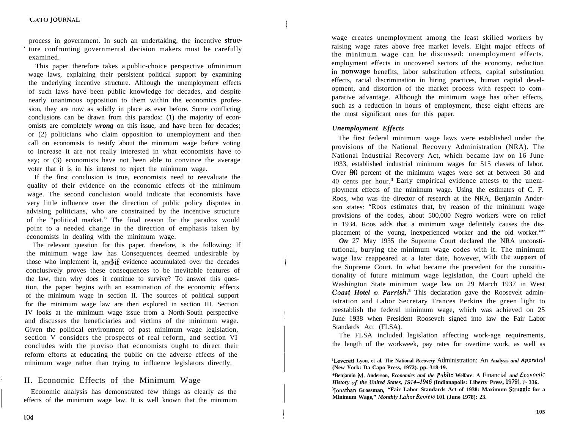process in government. In such an undertaking, the incentive struc- ' ture confronting governmental decision makers must be carefully examined.

This paper therefore takes a public-choice perspective ofminimum wage laws, explaining their persistent political support by examining the underlying incentive structure. Although the unemployment effects of such laws have been public knowledge for decades, and despite nearly unanimous opposition to them within the economics profession, they are now as solidly in place as ever before. Some conflicting conclusions can be drawn from this paradox: (1) the majority of economists are completely *wrong* on this issue, and have been for decades; or (2) politicians who claim opposition to unemployment and then call on economists to testify about the minimum wage before voting to increase it are not really interested in what economists have to say; or (3) economists have not been able to convince the average voter that it is in his interest to reject the minimum wage.

If the first conclusion is true, economists need to reevaluate the quality of their evidence on the economic effects of the minimum wage. The second conclusion would indicate that economists have very little influence over the direction of public policy disputes in advising politicians, who are constrained by the incentive structure of the "political market." The final reason for the paradox would point to a needed change in the direction of emphasis taken by economists in dealing with the minimum wage.

The relevant question for this paper, therefore, is the following: If the minimum wage law has Consequences deemed undesirable by those who implement it, and if evidence accumulated over the decades conclusively proves these consequences to be inevitable features of the law, then why does it continue to survive? To answer this question, the paper begins with an examination of the economic effects of the minimum wage in section II. The sources of political support for the minimum wage law are then explored in section III. Section IV looks at the minimum wage issue from a North-South perspective and discusses the beneficiaries and victims of the minimum wage. Given the political environment of past minimum wage legislation, section V considers the prospects of real reform, and section VI concludes with the proviso that economists ought to direct their reform efforts at educating the public on the adverse effects of the minimum wage rather than trying to influence legislators directly.

II. Economic Effects of the Minimum Wage

Economic analysis has demonstrated few things as clearly as the effects of the minimum wage law. It is well known that the minimum

wage creates unemployment among the least skilled workers by raising wage rates above free market levels. Eight major effects of the minimum wage can be discussed: unemployment effects, employment effects in uncovered sectors of the economy, reduction in nonwage benefits, labor substitution effects, capital substitution effects, racial discrimination in hiring practices, human capital development, and distortion of the market process with respect to comparative advantage. Although the minimum wage has other effects, such as a reduction in hours of employment, these eight effects are the most significant ones for this paper.

### *Unemployment Effects*

The first federal minimum wage laws were established under the provisions of the National Recovery Administration (NRA). The National Industrial Recovery Act, which became law on 16 June 1933, established industrial minimum wages for 515 classes of labor. Over 90 percent of the minimum wages were set at between 30 and 40 cents per hour.<sup>1</sup> Early empirical evidence attests to the unemployment effects of the minimum wage. Using the estimates of C. F. Roos, who was the director of research at the NRA, Benjamin Anderson states: "Roos estimates that, by reason of the minimum wage provisions of the codes, about 500,000 Negro workers were on relief in 1934. Roos adds that a minimum wage definitely causes the displacement of the young, inexperienced worker and the old worker.""

*On* 27 May 1935 the Supreme Court declared the NRA unconstitutional, burying the minimum wage codes with it. The minimum wage law reappeared at a later date, however, with the **support** of the Supreme Court. In what became the precedent for the constitutionality of future minimum wage legislation, the Court upheld the Washington State minimum wage law on 29 March 1937 in West Coast Hotel v. Parrish.<sup>3</sup> This declaration gave the Roosevelt administration and Labor Secretary Frances Perkins the green light to reestablish the federal minimum wage, which was achieved on 25 June 1938 when President Roosevelt signed into law the Fair Labor Standards Act (FLSA).

The FLSA included legislation affecting work-age requirements, the length of the workweek, pay rates for overtime work, as well as

**'Leverett Lyon, et al. The National** *Recovery* Administration: An **Analysis** *and* **Appraisal (New York: Da Capo Press, 1972). pp. 318-19.**

**\*Benjamin** *M.* **Anderson,** *Economics and the* **Public Welfare: A** Financial *and Economic History of the United States,* **1914-1946 (Indianapolis: Liberty Press, 1979), p. 336.**

**3Jonathan Grossman, "Fair Labor Standards Act of 1938: Maximum Struggle for a Minimum Wage,"** *Monthly* **Lobor** *Reoiew* **101 (June 1978): 23.**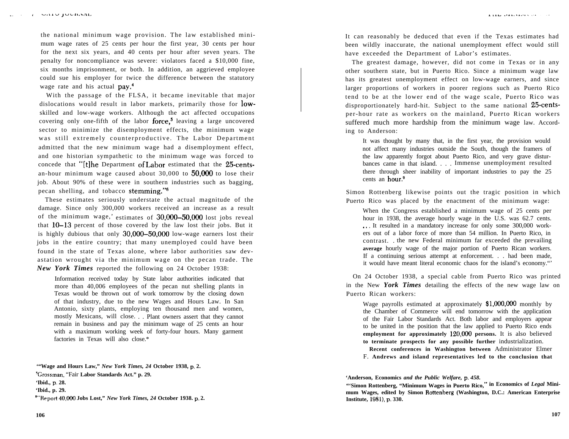the national minimum wage provision. The law established minimum wage rates of 25 cents per hour the first year, 30 cents per hour for the next six years, and 40 cents per hour after seven years. The penalty for noncompliance was severe: violators faced a \$10,000 fine, six months imprisonment, or both. In addition, an aggrieved employee could sue his employer for twice the difference between the statutory wage rate and his actual pay.<sup>4</sup>

With the passage of the FLSA, it became inevitable that major dislocations would result in labor markets, primarily those for lowskilled and low-wage workers. Although the act affected occupations covering only one-fifth of the labor force,<sup>5</sup> leaving a large uncovered sector to minimize the disemployment effects, the minimum wage was still extremely counterproductive. The Labor Department admitted that the new minimum wage had a disemployment effect, and one historian sympathetic to the minimum wage was forced to concede that "[tlhe Department ofLabor estimated that the 25-centsan-hour minimum wage caused about 30,000 to 5O,OOO to lose their job. About 90% of these were in southern industries such as bagging, pecan shelling, and tobacco stemming."6

These estimates seriously understate the actual magnitude of the damage. Since only 300,000 workers received an increase as a result of the minimum wage,' estimates of 3O,OOO-5O,OOO lost jobs reveal that  $10-13$  percent of those covered by the law lost their jobs. But it is highly dubious that only 30,000-50,000 low-wage earners lost their jobs in the entire country; that many unemployed could have been found in the state of Texas alone, where labor authorities saw devastation wrought via the minimum wage on the pecan trade. The *New York Times* reported the following on 24 October 1938:

Information received today by State labor authorities indicated that more than 40,006 employees of the pecan nut shelling plants in Texas would be thrown out of work tomorrow by the closing down of that industry, due to the new Wages and Hours Law. In San Antonio, sixty plants, employing ten thousand men and women, mostly Mexicans, will close. . . Plant owners assert that they cannot remain in business and pay the minimum wage of 25 cents an hour with a maximum working week of forty-four hours. Many garment factories in Texas will also close.\*

**'"Wage and Hours Law,"** *New York Times, 24* **October 1938, p. 2.** 'Crossman, "Fair **Labor Standards Act." p. 29. 'Ibid., p. 28. 'Ibid., p. 29.** *'"Heport 40,OCQ* **Jobs Lost,"** *New York Times, 24* **October 1938. p. 2.** It can reasonably be deduced that even if the Texas estimates had been wildly inaccurate, the national unemployment effect would still have exceeded the Department of Labor's estimates.

The greatest damage, however, did not come in Texas or in any other southern state, but in Puerto Rico. Since a minimum wage law has its greatest unemployment effect on low-wage earners, and since larger proportions of workers in poorer regions such as Puerto Rico tend to be at the lower end of the wage scale, Puerto Rico was disproportionately hard-hit. Subject to the same national 25-centsper-hour rate as workers on the mainland, Puerto Rican workers suffered much more hardship from the minimum wage law. According to Anderson:

It was thought by many that, in the first year, the provision would not affect many industries outside the South, though the framers of the law apparently forgot about Puerto Rico, and very grave disturbances came in that island. . . . Immense unemployment resulted there through sheer inability of important industries to pay the 25 cents an hour.<sup>9</sup>

Simon Rottenberg likewise points out the tragic position in which Puerto Rico was placed by the enactment of the minimum wage:

When the Congress established a minimum wage of 25 cents per hour in 1938, the average hourly wage in the U.S. was 62.7 cents. ... It resulted in a mandatory increase for only some 300,000 workers out of a labor force of more than 54 million. In Puerto Rico, in contrast. . the new Federal minimum far exceeded the prevailing **average** hourly wage of the major portion of Puerto Rican workers. If a continuing serious attempt at enforcement. . . had been made, it would have meant literal economic chaos for the island's economy."'

On 24 October 1938, a special cable from Puerto Rico was printed in the New *York Times* detailing the effects of the new wage law on Puerto Rican workers:

Wage payrolls estimated at approximately \$1,000,000 monthly by the Chamber of Commerce will end tomorrow with the application of the Fair Labor Standards Act. Both labor and employers appear to be united in the position that the law applied to Puerto Rico ends **employment for approximately 120,000 persons.** It is also believed **to terminate prospects for any possible further** industrialization.

**Recent conferences in Washington between** Administrator Elmer F. **Andrews and island representatives led to the conclusion that**

#### **'Anderson, Economics** *and the Public Welfare, p. 458.*

**"'Simon Rottenberg, "Minimum Wages in Puerto Rico," in Economics of** *Legal* **Minimum Wages, edited by Simon Rottenberg (Washington, D.C.: American Enterprise Institute, 1981). p, 330.**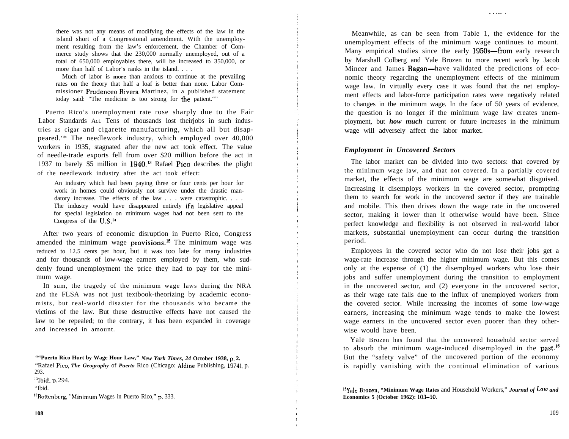there was not any means of modifying the effects of the law in the island short of a Congressional amendment. With the unemployment resulting from the law's enforcement, the Chamber of Commerce study shows that the 230,000 normally unemployed, out of a total of 650,000 employables there, will be increased to 350,000, or more than half of Labor's ranks in the island. . . .

Much of labor is **more** than anxious to continue at the prevailing rates on the theory that half a loaf is better than none. Labor Commissioner Prudence0 Rivera Martinez, in a published statement today said: "The medicine is too strong for the patient.""

Puerto Rico's unemployment rate rose sharply due to the Fair Labor Standards Act. Tens of thousands lost theirjobs in such industries as cigar and cigarette manufacturing, which all but disappeared.'\* The needlework industry, which employed over 40,000 workers in 1935, stagnated after the new act took effect. The value of needle-trade exports fell from over \$20 million before the act in 1937 to barely  $$5$  million in 1940.<sup>13</sup> Rafael Pico describes the plight of the needlework industry after the act took effect:

An industry which had been paying three or four cents per hour for work in homes could obviously not survive under the drastic mandatory increase. The effects of the law . . . were catastrophic. . . . The industry would have disappeared entirely **if a** legislative appeal for special legislation on minimum wages had not been sent to the Congress of the U.S.14

After two years of economic disruption in Puerto Rico, Congress amended the minimum wage provisions.'5 The minimum wage was reduced to 12.5 cents per hour, but it was too late for many industries and for thousands of low-wage earners employed by them, who suddenly found unemployment the price they had to pay for the minimum wage.

In sum, the tragedy of the minimum wage laws during the NRA and the FLSA was not just textbook-theorizing by academic economists, but real-world disaster for the thousands who became the victims of the law. But these destructive effects have not caused the law to be repealed; to the contrary, it has been expanded in coverage and increased in amount.

**""Puerto Rico Hurt by Wage Hour Law,"** *New York Times, 24* **October 1938, p. 2.** "Rafael Pica, *The Geography* of *Puerto* Rico (Chicago: Aldine Publishing, 1974), p. 293.

IsIbid., p. 294.

"Ibid.

<sup>15</sup>Rottenberg, "Minimum Wages in Puerto Rico," p. 333.

**108**

Meanwhile, as can be seen from Table 1, the evidence for the unemployment effects of the minimum wage continues to mount. Many empirical studies since the early 1950s-from early research by Marshall Colberg and Yale Brozen to more recent work by Jacob Mincer and James Ragan-have validated the predictions of economic theory regarding the unemployment effects of the minimum wage law. In virtually every case it was found that the net employment effects and labor-force participation rates were negatively related to changes in the minimum wage. In the face of 50 years of evidence, the question is no longer if the minimum wage law creates unemployment, but *how much* current or future increases in the minimum wage will adversely affect the labor market.

والمتعالمات

#### *Employment in Uncovered Sectors*

The labor market can be divided into two sectors: that covered by the minimum wage law, and that not covered. In a partially covered market, the effects of the minimum wage are somewhat disguised. Increasing it disemploys workers in the covered sector, prompting them to search for work in the uncovered sector if they are trainable and mobile. This then drives down the wage rate in the uncovered sector, making it lower than it otherwise would have been. Since perfect knowledge and flexibility is not observed in real-world labor markets, substantial unemployment can occur during the transition period.

Employees in the covered sector who do not lose their jobs get a wage-rate increase through the higher minimum wage. But this comes only at the expense of (1) the disemployed workers who lose their jobs and suffer unemployment during the transition to employment in the uncovered sector, and (2) everyone in the uncovered sector, as their wage rate falls due to the influx of unemployed workers from the covered sector. While increasing the incomes of some low-wage earners, increasing the minimum wage tends to make the lowest wage earners in the uncovered sector even poorer than they otherwise would have been.

Yale Brozen has found that the uncovered household sector served to absorb the minimum wage-induced disemployed in the past.<sup>16</sup> But the "safety valve" of the uncovered portion of the economy is rapidly vanishing with the continual elimination of various

16Yale Brazen, **"Minimum Wage Rates** and Household Workers," *Journal of Law and* **Economics 5 (October 1962): 103-10.**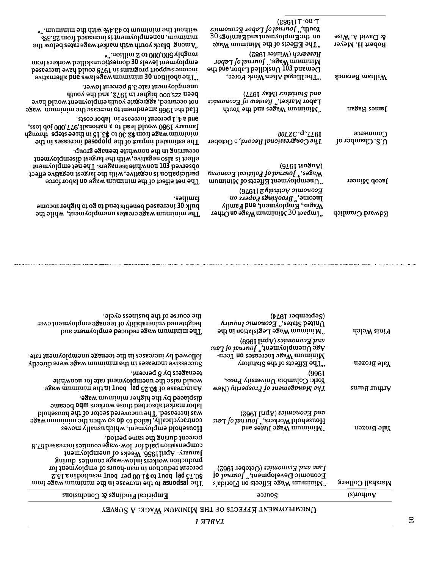| where $\sim$ the concerning of the component of the $\sim$ . The concerning $\sim$ , we have the concerning of the concerning of the concerning of the concerning of the concerning of the concerning of the concerning of the conc | $\cdots$                                           |  |
|-------------------------------------------------------------------------------------------------------------------------------------------------------------------------------------------------------------------------------------|----------------------------------------------------|--|
| Empirical Findings & Conclu:                                                                                                                                                                                                        | antce                                              |  |
|                                                                                                                                                                                                                                     | UNEMPLOYMENT EFFECTS OF THE MINIMUM WACE: A SURVEY |  |

| the course of the business cycle.<br>heightened vulnerability of teenage employment over<br>The minimum wage reduced employment and<br>followed by increases in the teenage unemployment rate.<br>Successive increases in the minimum wage were directly                                                                                                           | $(50, 10)$ rander $10\%$<br>United States," Economic Inquiry<br>"Minimum Wage Legislation in the<br>and Economics (April 1969)<br>$\mathcal{A}$ ge Unemployment, Journal of Law<br>Minimum Wage Increases on Teen-<br>"The Effects of the Statutory | <b>Finis Welch</b><br>Yale Brozen |
|--------------------------------------------------------------------------------------------------------------------------------------------------------------------------------------------------------------------------------------------------------------------------------------------------------------------------------------------------------------------|-----------------------------------------------------------------------------------------------------------------------------------------------------------------------------------------------------------------------------------------------------|-----------------------------------|
| teenagers by 8 percent.<br>would raise the unemployment rate for nonwhite<br>$\frac{1}{2}$ space of \$0.25 ppg pout in the minimum wage                                                                                                                                                                                                                            | (996I<br>York: Columbia University Press,<br>$\mathcal{L}(\mathcal{M})$ hinder of Prosperity was                                                                                                                                                    | Arthur Burns                      |
| displaced by the higher minimum wage.<br>labor market absorbed those workers uibo became<br>was increased. The uncovered sector of the household<br>eontracyclically, failed to do so when the minimum wage<br>Household employment, which usually moves                                                                                                           | and Economics (April 1962)<br>Household Workers," Journal of Law<br>bne zetsfl egsW muminiM"                                                                                                                                                        | Yale Brozen                       |
| percent during the same period.<br>compensation paid for low-wage counties increased 67.8<br>January-April 1956. Weeks of unemployment<br>production workers in low-wage counties during<br>percent reduction in man-hours of employment for<br>$$C3$ ] $$H30$ pout to $$1.00$ per nout resulted in $$T3$<br>The proponse to the increase in the minimum wage from | Law and Economics (October 1962)<br>Economic Development, Journal of<br>"ebinol T no atoriday agaW muminiM                                                                                                                                          | Marshall Colberg                  |
| Empirical Findings & Conclusions                                                                                                                                                                                                                                                                                                                                   | abinog                                                                                                                                                                                                                                              | Author(s)                         |

| <b>St David A. Wise</b><br>Robert H. Meyer | $T$ no. $L$ (1983)<br>Youth," Journal of Labor Economics<br>90 sgnimsHbnsnamvolqmHərh no<br>"BasW muminiM эһ io гіээііЯ элТ"       | "".muminim odi diw &&.Eb oi muminim odi tuodiiw<br>minimim, nonemployment is increased from 25.3%<br>"Among black youth with market wage rates below the                                                                                                                       |
|--------------------------------------------|------------------------------------------------------------------------------------------------------------------------------------|--------------------------------------------------------------------------------------------------------------------------------------------------------------------------------------------------------------------------------------------------------------------------------|
| William Beranek                            | Research (Winter 1982)<br>Minimum Wage," Journal of Labor<br>Demand 901 Unskilled Labor, and the<br>"The Illegal Alien Work Force, | "".aoillim S of 000,000 yldgvor<br>employment levels 08 domestic unskilled workers from<br>income support programs in 1978 could have increased<br>"The abolition 06 numinim wagelaws and alternative                                                                          |
| James Ragan                                | and Statistics (May 1977)<br>Labor Market," Review of Economics<br>thuoY of bhases and the Youn                                    | unemployment rate 3.8 percent lower.<br>been ZZS,000 higher in 1972, and the youth<br>not occurred, aggregate youth employment would have<br>Had the 1966 amendment to increase the minimum wage                                                                               |
| Commerce<br>$U.S.C$ hamber of              | 80LZC d'LL61<br>The Congressional Record, $\circ$ October                                                                          | and a 4.1 percent increase in labor costs.<br>[asol doi 000, TTe, I lanoitan a ot basl bluow 0801 yiauna,<br>minimim wage from \$2.30 to \$3.15 in three steps through<br>The estimated impact of the ppoposei increases in the                                                |
| Jacob Mincer                               | $(9L6I$ asngn $V)$<br>Wages," Journal of Political Economy<br>muminiM to ziosh'll inomyolqmonU"                                    | occurring in the nonwhite teenage group.<br>effect is also negative, with the largest disemployment<br>observed 801 nonwhite teenagers. The net employment<br>participation is negative, with the largest negative effect<br>The net effect of the minimum wage on labor force |
| Edward Gramlich                            | Economic Activity 2 (1976)<br>Income," Brookings Papers on<br>Wages, Employment, and Family<br>"Impact 08 Minimum Wage on Other    | .eailimsi<br>bulk 08 incoreased benefits tend to go to higher income<br>The minimum wage creates unemployment,  while the                                                                                                                                                      |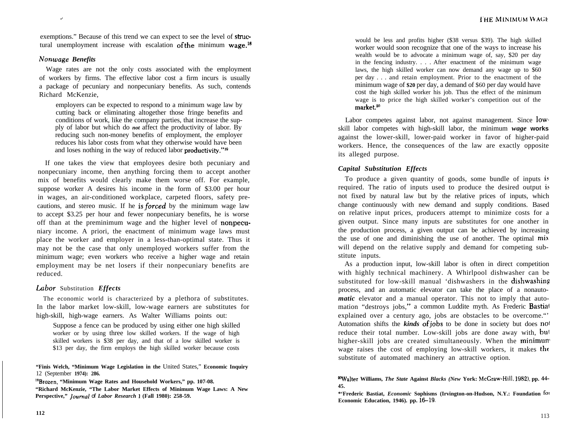exemptions." Because of this trend we can expect to see the level of **struc**tural unemployment increase with escalation of the minimum wage.<sup>18</sup>

#### *Nonwage Benefits*

Wage rates are not the only costs associated with the employment of workers by firms. The effective labor cost a firm incurs is usually a package of pecuniary and nonpecuniary benefits. As such, contends Richard McKenzie,

employers can be expected to respond to a minimum wage law by cutting back or eliminating altogether those fringe benefits and conditions of work, like the company parties, that increase the supply of labor but which do *not* affect the productivity of labor. By reducing such non-money benefits of employment, the employer reduces his labor costs from what they otherwise would have been and loses nothing in the way of reduced labor productivity."<sup>19</sup>

If one takes the view that employees desire both pecuniary and nonpecuniary income, then anything forcing them to accept another mix of benefits would clearly make them worse off. For example, suppose worker A desires his income in the form of \$3.00 per hour in wages, an air-conditioned workplace, carpeted floors, safety precautions, and stereo music. If he is forced by the minimum wage law to accept \$3.25 per hour and fewer nonpecuniary benefits, he is worse off than at the preminimum wage and the higher level of nonpecuniary income. A priori, the enactment of minimum wage laws must place the worker and employer in a less-than-optimal state. Thus it may not be the case that only unemployed workers suffer from the minimum wage; even workers who receive a higher wage and retain employment may be net losers if their nonpecuniary benefits are reduced.

## Labor Substitution *Effects*

The economic world is characterized by a plethora of substitutes. In the labor market low-skill, low-wage earners are substitutes for high-skill, high-wage earners. As Walter Williams points out:

Suppose a fence can be produced by using either one high skilled worker or by using three low skilled workers. If the wage of high skilled workers is \$38 per day, and that of a low skilled worker is \$13 per day, the firm employs the high skilled worker because costs

**"Finis Welch, "Minimum Wage Legislation in the** United States," **Economic Inquiry** 12 (September **1974): 286.**

**'\*Brazen, "Minimum Wage Rates and Household Workers," pp. 107-08. "Richard McKenzie, "The Labor Market Effects of Minimum Wage Laws: A New**

**Perspective,"** *Joumal of Labor Research 1* **(Fall 1980): 258-59.**

would be less and profits higher (\$38 versus \$39). The high skilled worker would soon recognize that one of the ways to increase his wealth would be to advocate a minimum wage of, say, \$20 per day in the fencing industry. . . . After enactment of the minimum wage laws, the high skilled worker can now demand any wage up to \$60 per day . . . and retain employment. Prior to the enactment of the minimum wage of **\$20** per day, a demand of \$60 per day would have cost the high skilled worker his job. Thus the effect of the minimum wage is to price the high skilled worker's competition out of the market.<sup>20</sup>

Labor competes against labor, not against management. Since lowskill labor competes with high-skill labor, the minimum *wage* **works** against the lower-skill, lower-paid worker in favor of higher-paid workers. Hence, the consequences of the law are exactly opposite its alleged purpose.

### *Capital Substitution Effects*

To produce a given quantity of goods, some bundle of inputs is required. The ratio of inputs used to produce the desired output is not fixed by natural law but by the relative prices of inputs, which change continuously with new demand and supply conditions. Based on relative input prices, producers attempt to minimize costs for a given output. Since many inputs are substitutes for one another in the production process, a given output can be achieved by increasing the use of one and diminishing the use of another. The optimal mix will depend on the relative supply and demand for competing substitute inputs.

As a production input, low-skill labor is often in direct competition with highly technical machinery. A Whirlpool dishwasher can be substituted for low-skill manual 'dishwashers in the dishwashing process, and an automatic elevator can take the place of a nonauto*matic* elevator and a manual operator. This not to imply that automation "destroys jobs," a common Luddite myth. As Frederic Bastiai explained over a century ago, jobs are obstacles to be overcome."' Automation shifts the *kinds* of jobs to be done in society but does not reduce their total number. Low-skill jobs are done away with, but higher-skill jobs are created simultaneously. When the minimum wage raises the cost of employing low-skill workers, it makes the substitute of automated machinery an attractive option.

**DOWalter Williams,** *The State* **Against** *Blacks (New* **York: hlcCraw-Hill, 1982), pp. 44- 45.**

**\*'Frederic Bastiat,** *Economic* **Sophisms (Irvington-on-Hudson, N.Y.: Foundation for Economic Education, 1946). pp. 16-19.**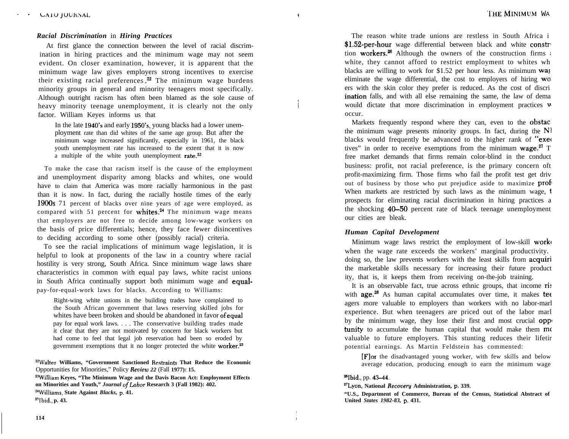#### *Racial Discrimination* in *Hiring Practices*

At first glance the connection between the level of racial discrimination in hiring practices and the minimum wage may not seem evident. On closer examination, however, it is apparent that the minimum wage law gives employers strong incentives to exercise their existing racial preferences.<sup>22</sup> The minimum wage burdens minority groups in general and minority teenagers most specifically. Although outright racism has often been blamed as the sole cause of heavy minority teenage unemployment, it is clearly not the only factor. William Keyes informs us that

In the late 1940's and early 1950's, young blacks had a lower unemployment rate than did whites of the same age group. But after the minimum wage increased significantly, especially in 1961, the black youth unemployment rate has increased to the extent that it is now a multiple of the white youth unemployment rate. $23$ 

To make the case that racism itself is the cause of the employment and unemployment disparity among blacks and whites, one would have to claim that America was more racially harmonious in the past than it is now. In fact, during the racially hostile times of the early 1900s 71 percent of blacks over nine years of age were employed, as compared with 51 percent for whites. $24$  The minimum wage means that employers are not free to decide among low-wage workers on the basis of price differentials; hence, they face fewer disincentives to deciding according to some other (possibly racial) criteria.

To see the racial implications of minimum wage legislation, it is helpful to look at proponents of the law in a country where racial hostility is very strong, South Africa. Since minimum wage laws share characteristics in common with equal pay laws, white racist unions in South Africa continually support both minimum wage and equalpay-for-equal-work laws for blacks. According to Williams:

Right-wing white unions in the building trades have complained to the South African government that laws reserving skilled jobs for whites have been broken and should be abandoned in favor of equal pay for equal work laws. . . . The conservative building trades made it clear that they are not motivated by concern for black workers but had come to feel that legal job reservation had been so eroded by government exemptions that it no longer protected the white worker.<sup>25</sup>

**'%'alter Williams, "Government Sanctioned Bestmints That Reduce the Economic** Opportunities for Minorities," Policy Reoiew *22* (Fall **1977): 15.**

**Z3William Keyes, "The Minimum Wage and the Davis Bacon Act: Employment Effects on Minorities and Youth,"** *Journal* **ofLabor Research 3 (Fall 1982): 402. Z'Williams, State Against** *Blacks,* **p. 41.**

**'Yhid., p. 43.**

The reason white trade unions are restless in South Africa i \$1.52-per-hour wage differential between black and white constr tion workers.<sup>26</sup> Although the owners of the construction firms : white, they cannot afford to restrict employment to whites wh blacks are willing to work for \$1.52 per hour less. As minimum  $\text{wa}$ eliminate the wage differential, the cost to employers of hiring wo ers with the skin color they prefer is reduced. As the cost of discri ination falls, and with all else remaining the same, the law of dema would dictate that more discrimination in employment practices  $\mathbf{w}$ occur.

Markets frequently respond where they can, even to the **obstac** the minimum wage presents minority groups. In fact, during the NJ blacks would frequently be advanced to the higher rank of " $exe$ tives" in order to receive exemptions from the minimum wage. $27$  T free market demands that firms remain color-blind in the conduct business: profit, not racial preference, is the primary concern oft profit-maximizing firm. Those firms who fail the profit test get driv out of business by those who put prejudice aside to maximize **profil** When markets are restricted by such laws as the minimum wage, t prospects for eliminating racial discrimination in hiring practices a the shocking 40–50 percent rate of black teenage unemployment our cities are bleak.

#### *Human Capital Development*

Minimum wage laws restrict the employment of low-skill works when the wage rate exceeds the workers' marginal productivity. doing so, the law prevents workers with the least skills from acquiri the marketable skills necessary for increasing their future product ity, that is, it keeps them from receiving on-the-job training.

It is an observable fact, true across ethnic groups, that income ri: with  $age.^{28}$  As human capital accumulates over time, it makes tee agers more valuable to employers than workers with no labor-marl experience. But when teenagers are priced out of the labor marl by the minimum wage, they lose their first and most crucial opptunity to accumulate the human capital that would make them mo valuable to future employers. This stunting reduces their lifetir potential earnings. As Martin Feldstein has commented:

[F]or the disadvantaged young worker, with few skills and below average education, producing enough to earn the minimum wage

#### 26Ibid., pp. *43-44.*

**\*'Lyon, National Recouety Administration, p. 339.**

**"U.S., Department of Commerce, Bureau of the Census, Statistical Abstract of United** *States 1982-83,* **p. 431.**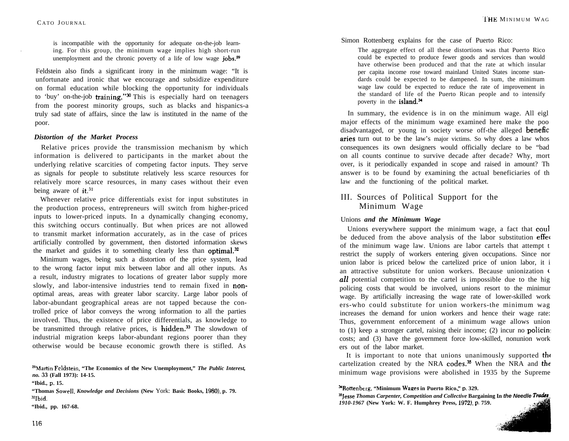is incompatible with the opportunity for adequate on-the-job learning. For this group, the minimum wage implies high short-run unemployment and the chronic poverty of a life of low wage jobs. $29$ 

Feldstein also finds a significant irony in the minimum wage: "It is unfortunate and ironic that we encourage and subsidize expenditure on formal education while blocking the opportunity for individuals to 'buy' on-the-job training."30 This is especially hard on teenagers from the poorest minority groups, such as blacks and hispanics-a truly sad state of affairs, since the law is instituted in the name of the poor.

#### *Distortion of the Market Process*

Relative prices provide the transmission mechanism by which information is delivered to participants in the market about the underlying relative scarcities of competing factor inputs. They serve as signals for people to substitute relatively less scarce resources for relatively more scarce resources, in many cases without their even being aware of it. $31$ 

Whenever relative price differentials exist for input substitutes in the production process, entrepreneurs will switch from higher-priced inputs to lower-priced inputs. In a dynamically changing economy, this switching occurs continually. But when prices are not allowed to transmit market information accurately, as in the case of prices artificially controlled by government, then distorted information skews the market and guides it to something clearly less than **optimal.**<sup>32</sup>

Minimum wages, being such a distortion of the price system, lead to the wrong factor input mix between labor and all other inputs. As a result, industry migrates to locations of greater labor supply more slowly, and labor-intensive industries tend to remain fixed in nonoptimal areas, areas with greater labor scarcity. Large labor pools of labor-abundant geographical areas are not tapped because the controlled price of labor conveys the wrong information to all the parties involved. Thus, the existence of price differentials, as knowledge to be transmitted through relative prices, is hidden.<sup>33</sup> The slowdown of industrial migration keeps labor-abundant regions poorer than they otherwise would be because economic growth there is stifled. As

**\*%Martin Feldstein. "The Economics of the New Unemployment,"** *The Public Interest, no.* 33 **(Fall 1973): 14-15.**

**"Ibid., p. 15.**

**"Thomas Sowell,** *Knowledge and Decisions* **(New** York: **Basic Books, 1980), p. 79. J21bid.**

**"Ibid., pp. 167-68.**

The aggregate effect of all these distortions was that Puerto Rico could be expected to produce fewer goods and services than would have otherwise been produced and that the rate at which insular per capita income rose toward mainland United States income standards could be expected to be dampened. In sum, the minimum wage law could be expected to reduce the rate of improvement in the standard of life of the Puerto Rican people and to intensify poverty in the island.<sup>34</sup>

Simon Rottenberg explains for the case of Puerto Rico:

In summary, the evidence is in on the minimum wage. All eigl major effects of the minimum wage examined here make the poo disadvantaged, or young in society worse off-the alleged **benefic** aries turn out to be the law's major victims. So why does a law whos consequences its own designers would officially declare to be "bad on all counts continue to survive decade after decade? Why, mort over, is it periodically expanded in scope and raised in amount? Th answer is to be found by examining the actual beneficiaries of th law and the functioning of the political market.

# III. Sources of Political Support for the Minimum Wage

#### Unions *and the Minimum Wage*

Unions everywhere support the minimum wage, a fact that coul be deduced from the above analysis of the labor substitution effec of the minimum wage law. Unions are labor cartels that attempt t restrict the supply of workers entering given occupations. Since nor union labor is priced below the cartelized price of union labor, it i an attractive substitute for union workers. Because unionization c *all* potential competition to the cartel is impossible due to the hig policing costs that would be involved, unions resort to the minimur wage. By artificially increasing the wage rate of lower-skilled work ers-who could substitute for union workers-the minimum wag increases the demand for union workers and hence their wage rate: Thus, government enforcement of a minimum wage allows union to  $(1)$  keep a stronger cartel, raising their income;  $(2)$  incur no **policin** costs; and (3) have the government force low-skilled, nonunion work ers out of the labor market.

It is important to note that unions unanimously supported the cartelization created by the NRA codes.<sup>35</sup> When the NRA and the minimum wage provisions were abolished in 1935 by the Supreme

<sup>35</sup> Jesse *Thomas Carpenter, Competition and Collective Bargaining In the Needle Trades 1910-1967* **(New York: W. F. Humphrey Press, 1972), p. 759.**



**<sup>&</sup>quot;Rottenbera.***-.* **"Minimum Wages in Puerto Rico."** *\_* **p. 329.**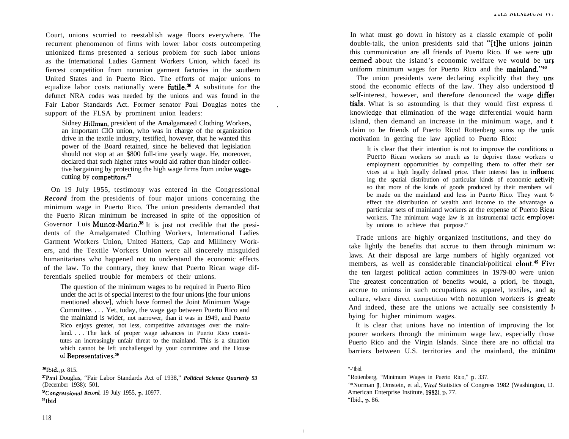Court, unions scurried to reestablish wage floors everywhere. The recurrent phenomenon of firms with lower labor costs outcompeting unionized firms presented a serious problem for such labor unions as the International Ladies Garment Workers Union, which faced its fiercest competition from nonunion garment factories in the southern United States and in Puerto Rico. The efforts of major unions to equalize labor costs nationally were futile.<sup>36</sup> A substitute for the defunct NRA codes was needed by the unions and was found in the Fair Labor Standards Act. Former senator Paul Douglas notes the support of the FLSA by prominent union leaders:

Sidney Hilfman, president of the Amalgamated Clothing Workers, an important CIO union, who was in charge of the organization drive in the textile industry, testified, however, that he wanted this power of the Board retained, since he believed that legislation should not stop at an \$800 full-time yearly wage. He, moreover, declared that such higher rates would aid rather than hinder collective bargaining by protecting the high wage firms from undue wagecutting by competitors. $37$ 

On 19 July 1955, testimony was entered in the Congressional *Record* from the presidents of four major unions concerning the minimum wage in Puerto Rico. The union presidents demanded that the Puerto Rican minimum be increased in spite of the opposition of Governor Luis Munoz-Marin.<sup>38</sup> It is just not credible that the presidents of the Amalgamated Clothing Workers, International Ladies Garment Workers Union, United Hatters, Cap and Millinery Workers, and the Textile Workers Union were all sincerely misguided humanitarians who happened not to understand the economic effects of the law. To the contrary, they knew that Puerto Rican wage differentials spelled trouble for members of their unions.

The question of the minimum wages to be required in Puerto Rico under the act is of special interest to the four unions [the four unions mentioned above], which have formed the Joint Minimum Wage Committee. . . . Yet, today, the wage gap between Puerto Rico and the mainland is wider, not narrower, than it was in 1949, and Puerto Rico enjoys greater, not less, competitive advantages over the mainland. . . . The lack of proper wage advances in Puerto Rico constitutes an increasingly unfair threat to the mainland. This is a situation which cannot be left unchallenged by your committee and the House of Representatives.<sup>39</sup>

#### $E_{\text{B}}$  and  $E_{\text{B}}$ , p. 815.  $\text{``-Hole}$

"Paul Douglas, "Fair Labor Standards Act of 1938," *Political Science Quarterly 53* (December 1938): 501.

<sup>38</sup>Congressional Record, 19 July 1955, p. 10977. 381bid.

In what must go down in history as a classic example of polit double-talk, the union presidents said that "[tlhe unions joinin: this communication are all friends of Puerto Rico. If we were uno cerned about the island's economic welfare we would be urg uniform minimum wages for Puerto Rico and the **mainland.**"<sup>40</sup>

The union presidents were declaring explicitly that they uno stood the economic effects of the law. They also understood t self-interest, however, and therefore denounced the wage differtials. What is so astounding is that they would first express tl knowledge that elimination of the wage differential would harm island, then demand an increase in the minimum wage, and t claim to be friends of Puerto Rico! Rottenberg sums up the unit motivation in getting the law applied to Puerto Rico:

It is clear that their intention is not to improve the conditions o Puerto Rican workers so much as to deprive those workers o employment opportunities by compelling them to offer their ser vices at a high legally defined price. Their interest lies in influenc ing the spatial distribution of particular kinds of economic activity so that more of the kinds of goods produced by their members wil be made on the mainland and less in Puerto Rico. They want to effect the distribution of wealth and income to the advantage o particular sets of mainland workers at the expense of Puerto Ricar workers. The minimum wage law is an instrumental tactic employee by unions to achieve that purpose."

Trade unions are highly organized institutions, and they do take lightly the benefits that accrue to them through minimum w: laws. At their disposal are large numbers of highly organized vot members, as well as considerable financial/political clout.<sup>42</sup> Five the ten largest political action committees in 1979-80 were union The greatest concentration of benefits would, a priori, be though, accrue to unions in such occupations as apparel, textiles, and as culture, where direct competition with nonunion workers is greate And indeed, these are the unions we actually see consistently  $\mathbf{I}(\cdot)$ bying for higher minimum wages.

It is clear that unions have no intention of improving the lot poorer workers through the minimum wage law, especially those Puerto Rico and the Virgin Islands. Since there are no official tra barriers between U.S. territories and the mainland, the minimu

.

"Rottenberg, "Minimum Wages in Puerto Rico," p. 337.

'\*Norman J. Omstein, et al., Vital Statistics of Congress 1982 (Washington, D. American Enterprise Institute, 1982), p. 77. "Ibid., p. 86.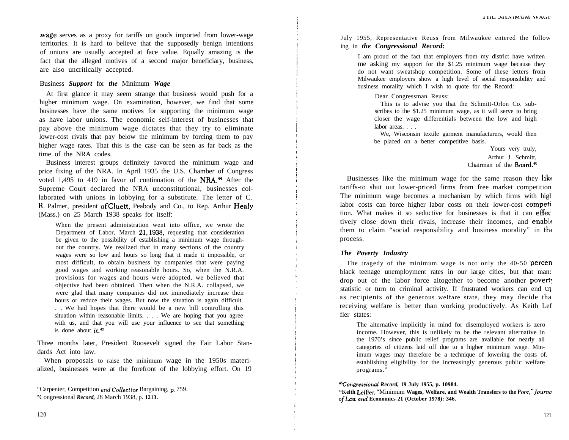.wage serves as a proxy for tariffs on goods imported from lower-wage territories. It is hard to believe that the supposedly benign intentions of unions are usually accepted at face value. Equally amazing is the fact that the alleged motives of a second major beneficiary, business, are also uncritically accepted.

#### Business *Support* for *the* Minimum *Wage*

At first glance it may seem strange that business would push for a higher minimum wage. On examination, however, we find that some businesses have the same motives for supporting the minimum wage as have labor unions. The economic self-interest of businesses that pay above the minimum wage dictates that they try to eliminate lower-cost rivals that pay below the minimum by forcing them to pay higher wage rates. That this is the case can be seen as far back as the time of the NRA codes.

Business interest groups definitely favored the minimum wage and price fixing of the NRA. In April 1935 the U.S. Chamber of Congress voted 1,495 to 419 in favor of continuation of the NRA.<sup>44</sup> After the Supreme Court declared the NRA unconstitutional, businesses collaborated with unions in lobbying for a substitute. The letter of C. R. Palmer, president of Cluett, Peabody and Co., to Rep. Arthur Healy (Mass.) on 25 March 1938 speaks for itself:

When the present administration went into office, we wrote the Department of Labor, March 21,1938, requesting that consideration be given to the possibility of establishing a minimum wage throughout the country. We realized that in many sections of the country wages were so low and hours so long that it made it impossible, or most difficult, to obtain business by companies that were paying good wages and working reasonable hours. So, when the N.R.A. provisions for wages and hours were adopted, we believed that objective had been obtained. Then when the N.R.A. collapsed, we were glad that many companies did not immediately increase their hours or reduce their wages. But now the situation is again difficult. . . We had hopes that there would be a new bill controlling this situation within reasonable limits. . . . We are hoping that you agree with us, and that you will use your influence to see that something is done about it. $45$ 

Three months later, President Roosevelt signed the Fair Labor Standards Act into law.

When proposals to raise the minimum wage in the 1950s materialized, businesses were at the forefront of the lobbying effort. On 19

"Carpenter, Competition and Collective Bargaining, p. 759. "Congressional *Record,* 28 March 1938, p. **1213.**

July 1955, Representative Reuss from Milwaukee entered the follow ing in *the Congressional Record:*

I am proud of the fact that employers from my district have written me asking my support for the \$1.25 minimum wage because they do not want sweatshop competition. Some of these letters from Milwaukee employers show a high level of social responsibility and business morality which I wish to quote for the Record:

Dear Congressman Reuss:

This is to advise you that the Schmitt-Orlon Co. subscribes to the \$1.25 minimum wage, as it will serve to bring closer the wage differentials between the low and high labor areas.

We, Wisconsin textile garment manufacturers, would then be placed on a better competitive basis.

> Yours very truly, Arthur J. Schmitt, Chairman of the Board.'6

Businesses like the minimum wage for the same reason they like tariffs-to shut out lower-priced firms from free market competition The minimum wage becomes a mechanism by which firms with higl labor costs can force higher labor costs on their lower-cost competi tion. What makes it so seductive for businesses is that it can effec tively close down their rivals, increase their incomes, and enable them to claim "social responsibility and business morality" in the process.

#### *The Poverty Industry*

The tragedy of the minimum wage is not only the 40-50 percen black teenage unemployment rates in our large cities, but that man: drop out of the labor force altogether to become another povert) statistic or turn to criminal activity. If frustrated workers can end UI as recipients of the generous welfare state, they may decide tha receiving welfare is better than working productively. As Keith Lef fler states:

The alternative implicitly in mind for disemployed workers is zero income. However, this is unlikely to be the relevant alternative in the 1970's since public relief programs are available for nearly all categories of citizens laid off due to a higher minimum wage. Minimum wages may therefore be a technique of lowering the costs of. establishing eligibility for the increasingly generous public welfare programs."

Vongressional *Record,* **19 July 1955, p. 10984.**

**"Keith Lefller,** "Minimum **Wages, Welfare, and Wealth Transfers to the Poor,"/ourno ofLaw and Economics 21 (October 1978): 346.**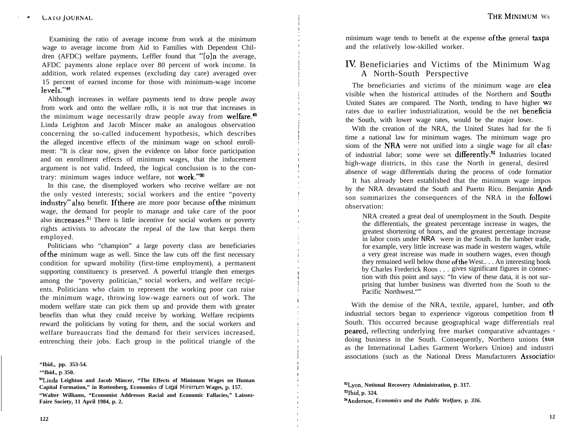Examining the ratio of average income from work at the minimum wage to average income from Aid to Families with Dependent Children (AFDC) welfare payments, Leffler found that "[o]n the average, AFDC payments alone replace over 80 percent of work income. In addition, work related expenses (excluding day care) averaged over 15 percent of earned income for those with minimum-wage income levels."4s

Although increases in welfare payments tend to draw people away from work and onto the welfare rolls, it is not true that increases in the minimum wage necessarily draw people away from welfare.<sup>49</sup> Linda Leighton and Jacob Mincer make an analogous observation concerning the so-called inducement hypothesis, which describes the alleged incentive effects of the minimum wage on school enrollment: "It is clear now, given the evidence on labor force participation and on enrollment effects of minimum wages, that the inducement argument is not valid. Indeed, the logical conclusion is to the contrary: minimum wages induce welfare, not work." $50$ 

In this case, the disemployed workers who receive welfare are not the only vested interests; social workers and the entire "poverty industry"also benefit. Ifthere are more poor because ofthe minimum wage, the demand for people to manage and take care of the poor also increases.<sup>51</sup> There is little incentive for social workers or poverty rights activists to advocate the repeal of the law that keeps them employed.

Politicians who "champion" a large poverty class are beneficiaries ofthe minimum wage as well. Since the law cuts off the first necessary condition for upward mobility (first-time employment), a permanent supporting constituency is preserved. A powerful triangle then emerges among the "poverty politician," social workers, and welfare recipients. Politicians who claim to represent the working poor can raise the minimum wage, throwing low-wage earners out of work. The modern welfare state can pick them up and provide them with greater benefits than what they could receive by working. Welfare recipients reward the politicians by voting for them, and the social workers and welfare bureaucrats find the demand for their services increased, entrenching their jobs. Each group in the political triangle of the

**"Ibid., pp. 353-54.**

**'"Ibid., p. 350.**

**,wLinda Leighton and Jacob Mincer, "The Effects of Minimum Wages on Human Capital Formation," in Rottenberg, Economics** *of Legal Minimum* **Wages, p, 157. "Walter Williams, "Economist Addresses Racial and Economic Fallacies," Laissez-Faire Society, 11 April 1984, p. 2.**

minimum wage tends to benefit at the expense ofthe general taxpa and the relatively low-skilled worker.

# IV. Beneficiaries and Victims of the Minimum Wag A North-South Perspective

The beneficiaries and victims of the minimum wage are clea visible when the historical attitudes of the Northern and Southc United States are compared. The North, tending to have higher  $w\epsilon$ rates due to earlier industrialization, would be the net beneficia the South, with lower wage rates, would be the major loser.

With the creation of the NRA, the United States had for the fi time a national law for minimum wages. The minimum wage pro sions of the NRA were not unified into a single wage for all clas: of industrial labor; some were set differently.52 Industries located high-wage districts, in this case the North in general, desired absence of wage differentials during the process of code formatior

It has already been established that the minimum wage impos by the NRA devastated the South and Puerto Rico. Benjamin And son summarizes the consequences of the NRA in the followiobservation:

NRA created a great deal of unemployment in the South. Despite the differentials, the greatest percentage increase in wages, the greatest shortening of hours, and the greatest percentage increase in labor costs under NRA were in the South. In the lumber trade, for example, very little increase was made in western wages, while a very great increase was made in southern wages, even though they remained well below those of the West.... An interesting book by Charles Frederick Roos . . . gives significant figures in connection with this point and says: "In view of these data, it is not surprising that lumber business was diverted from the South to the Pacific Northwest.""

With the demise of the NRA, textile, apparel, lumber, and oth industrial sectors began to experience vigorous competition from *t1* South. This occurred because geographical wage differentials real peared, reflecting underlying free market comparative advantages 1 doing business in the South. Consequently, Northern unions (sue as the International Ladies Garment Workers Union) and industri associations (such as the National Dress Manufacturers Association

**slLyon, Notional Recovery Administration, p. 317. Ybid, p. 324. %Anderson,** *Economics and the Public Welfare, p. 336.*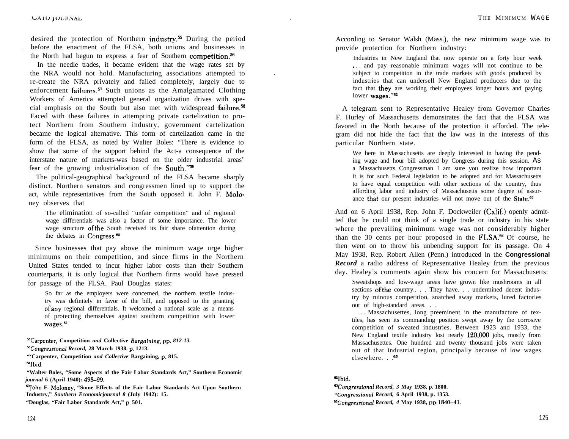desired the protection of Northern industry.% During the period . before the enactment of the FLSA, both unions and businesses in the North had begun to express a fear of Southern competition.<sup>56</sup>

In the needle trades, it became evident that the wage rates set by the NRA would not hold. Manufacturing associations attempted to re-create the NRA privately and failed completely, largely due to enforcement failures.<sup>57</sup> Such unions as the Amalgamated Clothing Workers of America attempted general organization drives with special emphasis on the South but also met with widespread failure.% Faced with these failures in attempting private cartelization to protect Northern from Southern industry, government cartelization became the logical alternative. This form of cartelization came in the form of the FLSA, as noted by Walter Boles: "There is evidence to show that some of the support behind the Act-a consequence of the interstate nature of markets-was based on the older industrial areas' fear of the growing industrialization of the South."5g

The political-geographical background of the FLSA became sharply distinct. Northern senators and congressmen lined up to support the act, while representatives from the South opposed it. John F. Moloney observes that

The elimination of so-called "unfair competition" and of regional wage differentials was also a factor of some importance. The lower wage structure ofthe South received its fair share ofattention during the debates in Congress. $60$ 

Since businesses that pay above the minimum wage urge higher minimums on their competition, and since firms in the Northern United States tended to incur higher labor costs than their Southern counterparts, it is only logical that Northern firms would have pressed for passage of the FLSA. Paul Douglas states:

So far as the employers were concerned, the northern textile industry was definitely in favor of the bill, and opposed to the granting ofany regional differentials. It welcomed a national scale as a means of protecting themselves against southern competition with lower wages.<sup>61</sup>

<sup>55</sup>Carpenter, Competition *and* Collective *Bargaining*, pp. 812-13.

**S6Congressionol** *Record,* **28 March 1938. p. 1213.**

**"'Carpenter, Competition** *and Collective* **Bargaining, p. 815. %Ibid.**

**"Walter Boles, "Some Aspects of the Fair Labor Standards Act," Southern Economic** *journal* **6 (April 1940): 498-99.**

**60John F. Maloney, "Some Effects of the Fair Labor Standards Act Upon Southern Industry,"** *Southern Economicjournal 8* **(July 1942): 15. "Douglas, "Fair Labor Standards Act," p. 501.**

According to Senator Walsh (Mass.), the new minimum wage was to provide protection for Northern industry:

Industries in New England that now operate on a forty hour week ... and pay reasonable minimum wages will not continue to be subject to competition in the trade markets with goods produced by industries that can undersell New England producers due to the fact that they are working their employees longer hours and paying lower wages."<sup>62</sup>

A telegram sent to Representative Healey from Governor Charles F. Hurley of Massachusetts demonstrates the fact that the FLSA was favored in the North because of the protection it afforded. The telegram did not hide the fact that the law was in the interests of this particular Northern state.

We here in Massachusetts are deeply interested in having the pending wage and hour bill adopted by Congress during this session. AS a Massachusetts Congressman I am sure you realize how important it is for such Federal legislation to be adopted and for Massachusetts to have equal competition with other sections of the country, thus affording labor and industry of Massachusetts some degree of assurance that our present industries will not move out of the State.<sup>63</sup>

And on 6 April 1938, Rep. John F. Dockweiler (Calif.) openly admitted that he could not think of a single trade or industry in his state where the prevailing minimum wage was not considerably higher than the 30 cents per hour proposed in the FLSA.64 Of course, he then went on to throw his unbending support for its passage. On 4 May 1938, Rep. Robert Allen (Penn.) introduced in the **Congressional** *Record* a radio address of Representative Healey from the previous day. Healey's comments again show his concern for Massachusetts:

Sweatshops and low-wage areas have grown like mushrooms in all sections of the country... They have... undermined decent industry by ruinous competition, snatched away markets, lured factories out of high-standard areas. . .

... Massachusettes, long preeminent in the manufacture of textiles, has seen its commanding position swept away by the corrosive competition of sweated industries. Between 1923 and 1933, the New England textile industry lost nearly 120,000 jobs, mostly from Massachusettes. One hundred and twenty thousand jobs were taken out of that industrial region, principally because of low wages elsewhere.  $.$ 

#### **aIbid.**

*Vongressional Record, 3* **May 1938, p. 1800.** *"Congressional Record,* **6 April 1938, p. 1353.** *Tongressional Record, 4* **May 1938, pp. 1640-41.**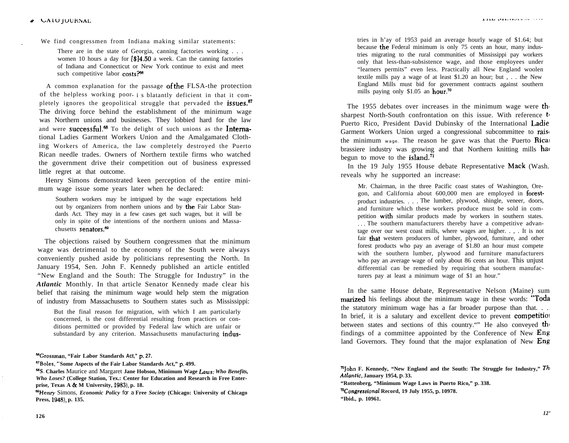. We find congressmen from Indiana making similar statements:

There are in the state of Georgia, canning factories working . . . women 10 hours a day for [\$]4.50 a week. Can the canning factories of Indiana and Connecticut or New York continue to exist and meet such competitive labor costs?<sup>66</sup>

A common explanation for the passage ofthe FLSA-the protection of the helpless working poor-is blatantly deficient in that it completely ignores the geopolitical struggle that pervaded the issues.<sup>67</sup> The driving force behind the establishment of the minimum wage was Northern unions and businesses. They lobbied hard for the law and were successful.<sup>68</sup> To the delight of such unions as the International Ladies Garment Workers Union and the Amalgamated Clothing Workers of America, the law completely destroyed the Puerto Rican needle trades. Owners of Northern textile firms who watched the government drive their competition out of business expressed little regret at that outcome.

Henry Simons demonstrated keen perception of the entire minimum wage issue some years later when he declared:

Southern workers may be intrigued by the wage expectations held out by organizers from northern unions and by the Fair Labor Standards Act. They may in a few cases get such wages, but it will be only in spite of the intentions of the northern unions and Massachusetts senators.<sup>69</sup>

The objections raised by Southern congressmen that the minimum wage was detrimental to the economy of the South were always conveniently pushed aside by politicians representing the North. In January 1954, Sen. John F. Kennedy published an article entitled "New England and the South: The Struggle for Industry" in the *Atlantic* Monthly. In that article Senator Kennedy made clear his belief that raising the minimum wage would help stem the migration of industry from Massachusetts to Southern states such as Mississippi:

But the final reason for migration, with which I am particularly concerned, is the cost differential resulting from practices or conditions permitted or provided by Federal law which are unfair or substandard by any criterion. Massachusetts manufacturing indus-

**<sup>126</sup>** *12'*

tries in h'ay of 1953 paid an average hourly wage of \$1.64; but because the Federal minimum is only 75 cents an hour, many industries migrating to the rural communities of Mississippi pay workers only that less-than-subsistence wage, and those employees under "learners permits" even less. Practically all New England woolen textile mills pay a wage of at least \$1.20 an hour; but , . . the New England Mills must bid for government contracts against southern mills paying only  $$1.05$  an hour.<sup>70</sup>

The 1955 debates over increases in the minimum wage were the sharpest North-South confrontation on this issue. With reference  $t_1$ Puerto Rico, President David Dubinsky of the International Ladie Garment Workers Union urged a congressional subcommittee to raise the minimum wage. The reason he gave was that the Puerto Rical brassiere industry was growing and that Northern knitting mills hat begun to move to the island.<sup> $71$ </sup>

In the 19 July 1955 House debate Representative Mack (Wash. reveals why he supported an increase:

Mr. Chairman, in the three Pacific coast states of Washington, Oregon, and California about 600,000 men are employed in forestproduct industries. . . . The lumber, plywood, shingle, veneer, doors, and furniture which these workers produce must be sold in competition with similar products made by workers in southern states. ... The southern manufacturers thereby have a competitive advantage over our west coast mills, where wages are higher. . , . It is not fair that western producers of lumber, plywood, furniture, and other forest products who pay an average of \$1.80 an hour must compete with the southern lumber, plywood and furniture manufacturers who pay an average wage of only about 86 cents an hour. This unjust differential can be remedied by requiring that southern manufacturers pay at least a minimum wage of \$1 an hour."

In the same House debate, Representative Nelson (Maine) sum marized his feelings about the minimum wage in these words: "Toda the statutory minimum wage has a far broader purpose than that. . . In brief, it is a salutary and excellent device to prevent **competitio** between states and sections of this country. "" He also conveyed  $\mathbf{th}_{\mathfrak{t}}$ findings of a committee appointed by the Conference of New Eng land Governors. They found that the major explanation of New Eng

<sup>70</sup>John F. Kennedy, "New England and the South: The Struggle for Industry," The *Atlantfc,* **January 1954, p. 33. "Rottenberg, "Minimum Wage Laws in Puerto Rico," p. 338. 'PCongressional Record, 19 July 1955, p. 10978. "Ibid., p. 10961.**

**<sup>%</sup>rossman, "Fair Labor Standards Act," p. 27.**

**s'Boles, " Some Aspects of the Fair Labor Standards Act," p, 499.**

<sup>%.</sup> **Charles** Maurice and Margaret **Jane Hobson, Minimum Wage Laws:** *Who Benefits, Who Loses?* **(College Station, Tex.: Center for Education and Research in Free Enterprise, Texas A & M University, 1983), p. 18.**

**<sup>6</sup>eHenry** Simons, *Economic Policy for a* **Free** *Society* **(Chicago: University of Chicago Press, 1948), p. 135.**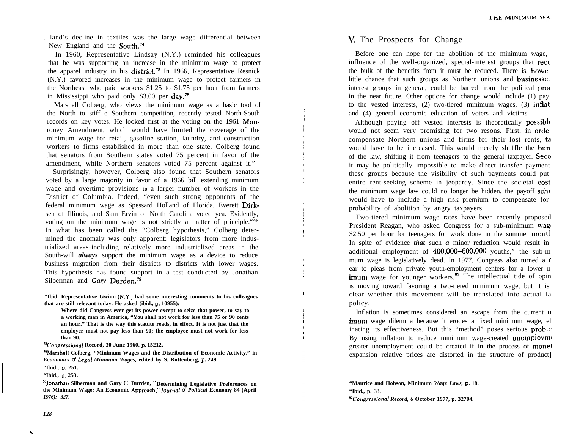. land's decline in textiles was the large wage differential between New England and the South.<sup>74</sup>

In 1960, Representative Lindsay (N.Y.) reminded his colleagues that he was supporting an increase in the minimum wage to protect the apparel industry in his district.75 In 1966, Representative Resnick (N.Y.) favored increases in the minimum wage to protect farmers in the Northeast who paid workers \$1.25 to \$1.75 per hour from farmers in Mississippi who paid only \$3.00 per  $\frac{day}{6}$ 

Marshall Colberg, who views the minimum wage as a basic tool of the North to stiff e Southern competition, recently tested North-South records on key votes. He looked first at the voting on the 1961 Monroney Amendment, which would have limited the coverage of the minimum wage for retail, gasoline station, laundry, and construction workers to firms established in more than one state. Colberg found that senators from Southern states voted 75 percent in favor of the amendment, while Northern senators voted 75 percent against it."

Surprisingly, however, Colberg also found that Southern senators voted by a large majority in favor of a 1966 bill extending minimum wage and overtime provisions **to** a larger number of workers in the District of Columbia. Indeed, "even such strong opponents of the federal minimum wage as Spessard Holland of Florida, Everett Dirksen of Illinois, and Sam Ervin of North Carolina voted yea. Evidently, voting on the minimum wage is not strictly a matter of principle."'\* In what has been called the "Colberg hypothesis," Colberg determined the anomaly was only apparent: legislators from more industrialized areas-including relatively more industrialized areas in the South-will *always* support the minimum wage as a device to reduce business migration from their districts to districts with lower wages. This hypothesis has found support in a test conducted by Jonathan Silberman and *Gary* Durden.<sup>79</sup>

**"Ibid. Representative Gwinn (N.Y.) had some interesting comments to his colleagues that are still relevant today. He asked (ibid., p. 10955):**

**Where did Congress ever get its power except to seize that power, to say to a working man in America, "You shall not work for less than 75 or 90 cents an hour." That is the way this statute reads, in effect. It is not just that the employer must not pay less than 90; the employee must not work for less than 90.**

**"Congressional Record, 30 June 1960, p, 15212.**

**76Marshall Colberg, "Minimum Wages and the Distribution of Economic Activity," in** *Economics of Legal Minimum Wages,* **edited by S. Rottenberg, p, 249.**

**"Ibid., p. 251.**

**"Ibid., p. 253.**

**"Jonathan Silberman and Gary C. Durden, '\* Determining Legislative Preferences on the Minimum Wage: An Economic Approach,"journal** *of Political* **Economy 84 (April** *1976): 327.*

# V. The Prospects for Change

Before one can hope for the abolition of the minimum wage, influence of the well-organized, special-interest groups that  $rect$ the bulk of the benefits from it must be reduced. There is, howe little chance that such groups as Northern unions and businesse: interest groups in general, could be barred from the political proc in the near future. Other options for change would include (1) pay to the vested interests, (2) two-tiered minimum wages, (3) inflat and (4) general economic education of voters and victims.

Although paying off vested interests is theoretically **possible** would not seem very promising for two resons. First, in order compensate Northern unions and firms for their lost rents, ta would have to be increased. This would merely shuffle the burd of the law, shifting it from teenagers to the general taxpayer. Seco it may be politically impossible to make direct transfer payment these groups because the visibility of such payments could put entire rent-seeking scheme in jeopardy. Since the societal cost' the minimum wage law could no longer be hidden, the payoff sche would have to include a high risk premium to compensate for probability of abolition by angry taxpayers.

Two-tiered minimum wage rates have been recently proposed President Reagan, who asked Congress for a sub-minimum wage \$2.50 per hour for teenagers for work done in the summer month In spite of evidence *that* such *a* minor reduction would result in additional employment of  $400,000 - 600,000$  youths," the sub-m mum wage is legislatively dead. In 1977, Congress also turned a c ear to pleas from private youth-employment centers for a lower n imum wage for younger workers. $\frac{\hat{\delta}^2}{2}$  The intellectual tide of opin is moving toward favoring a two-tiered minimum wage, but it is clear whether this movement will be translated into actual la , policy.

Inflation is sometimes considered an escape from the current  $\mathbf{n}$ imum wage dilemma because it erodes a fixed minimum wage, el inating its effectiveness. But this "method" poses serious proble By using inflation to reduce minimum wage-created unemployment greater unemployment could be created if in the process of monei expansion relative prices are distorted in the structure of product]

**"Maurice and Hobson, Minimum** *Wage Laws,* **p. 18. "Ibid., p. 33. s2Congressionol** *Record, 6* **October 1977, p. 32704.**

I ;